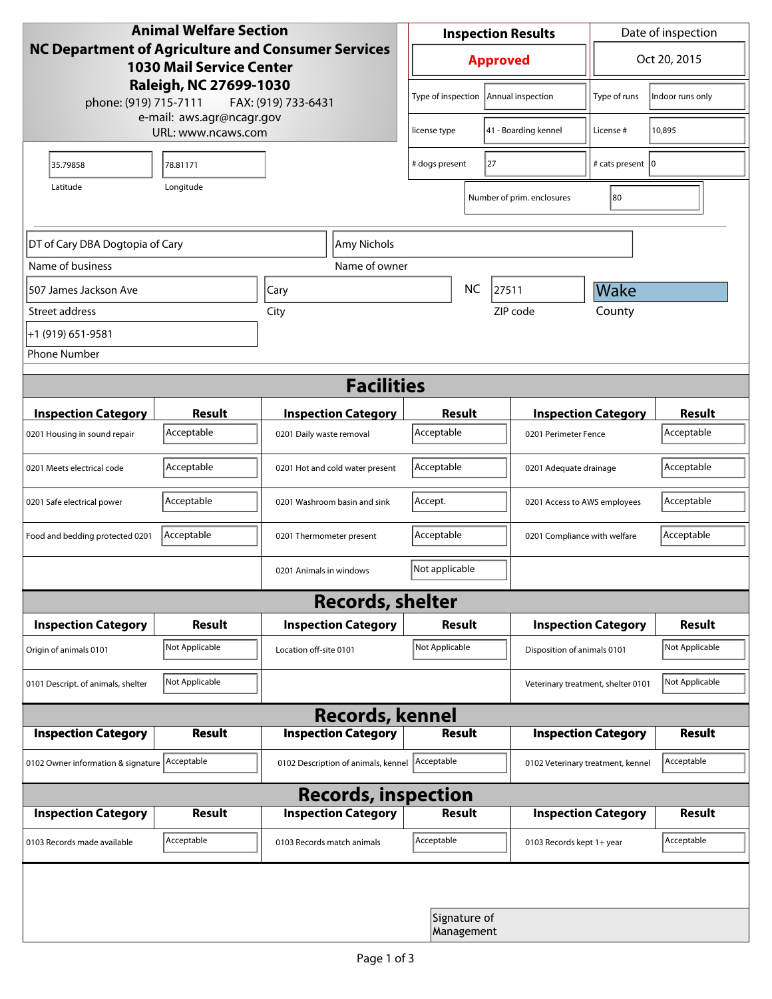| <b>Animal Welfare Section</b><br>NC Department of Agriculture and Consumer Services<br><b>1030 Mail Service Center</b><br>Raleigh, NC 27699-1030 |                     |                                     | <b>Inspection Results</b>                  |                            |                                    | Date of inspection          |                |
|--------------------------------------------------------------------------------------------------------------------------------------------------|---------------------|-------------------------------------|--------------------------------------------|----------------------------|------------------------------------|-----------------------------|----------------|
|                                                                                                                                                  |                     |                                     | <b>Approved</b>                            |                            |                                    | Oct 20, 2015                |                |
| phone: (919) 715-7111                                                                                                                            | FAX: (919) 733-6431 | Type of inspection                  |                                            | Annual inspection          | Type of runs                       | Indoor runs only            |                |
| e-mail: aws.agr@ncagr.gov<br>URL: www.ncaws.com                                                                                                  |                     |                                     | license type                               |                            | 41 - Boarding kennel               | License #                   | 10,895         |
| 35.79858                                                                                                                                         | 78.81171            |                                     | # dogs present                             | 27                         |                                    | # cats present   0          |                |
| Latitude                                                                                                                                         | Longitude           |                                     |                                            |                            | Number of prim. enclosures         | 80                          |                |
| DT of Cary DBA Dogtopia of Cary                                                                                                                  |                     | Amy Nichols                         |                                            |                            |                                    |                             |                |
| Name of business                                                                                                                                 |                     | Name of owner                       |                                            |                            |                                    |                             |                |
| 507 James Jackson Ave                                                                                                                            |                     | Cary                                | <b>NC</b>                                  |                            | 27511                              | Wake                        |                |
| Street address                                                                                                                                   |                     | City                                |                                            |                            | ZIP code                           | County                      |                |
| +1 (919) 651-9581                                                                                                                                |                     |                                     |                                            |                            |                                    |                             |                |
| <b>Phone Number</b>                                                                                                                              |                     |                                     |                                            |                            |                                    |                             |                |
| <b>Facilities</b>                                                                                                                                |                     |                                     |                                            |                            |                                    |                             |                |
| <b>Inspection Category</b>                                                                                                                       | <b>Result</b>       | <b>Inspection Category</b>          | Result                                     |                            | <b>Inspection Category</b>         |                             | <b>Result</b>  |
| 0201 Housing in sound repair                                                                                                                     | Acceptable          | 0201 Daily waste removal            | Acceptable                                 |                            | 0201 Perimeter Fence               |                             | Acceptable     |
| 0201 Meets electrical code                                                                                                                       | Acceptable          | 0201 Hot and cold water present     | Acceptable<br>0201 Adequate drainage       |                            |                                    | Acceptable                  |                |
| 0201 Safe electrical power                                                                                                                       | Acceptable          | 0201 Washroom basin and sink        | Accept.<br>0201 Access to AWS employees    |                            |                                    | Acceptable                  |                |
| Food and bedding protected 0201                                                                                                                  | Acceptable          | 0201 Thermometer present            | Acceptable<br>0201 Compliance with welfare |                            |                                    | Acceptable                  |                |
|                                                                                                                                                  |                     | 0201 Animals in windows             | Not applicable                             |                            |                                    |                             |                |
| <b>Records, shelter</b>                                                                                                                          |                     |                                     |                                            |                            |                                    |                             |                |
| <b>Inspection Category</b>                                                                                                                       | Result              | <b>Inspection Category</b>          | Result                                     |                            |                                    | <b>Inspection Category</b>  | Result         |
| Origin of animals 0101                                                                                                                           | Not Applicable      | Location off-site 0101              | Not Applicable                             |                            |                                    | Disposition of animals 0101 |                |
| 0101 Descript. of animals, shelter                                                                                                               | Not Applicable      |                                     |                                            |                            | Veterinary treatment, shelter 0101 |                             | Not Applicable |
| <b>Records, kennel</b>                                                                                                                           |                     |                                     |                                            |                            |                                    |                             |                |
| <b>Inspection Category</b>                                                                                                                       | <b>Result</b>       | <b>Inspection Category</b>          |                                            | <b>Result</b>              |                                    | <b>Inspection Category</b>  | <b>Result</b>  |
| 0102 Owner information & signature Acceptable                                                                                                    |                     | 0102 Description of animals, kennel | Acceptable                                 |                            | 0102 Veterinary treatment, kennel  |                             | Acceptable     |
| <b>Records, inspection</b>                                                                                                                       |                     |                                     |                                            |                            |                                    |                             |                |
| <b>Inspection Category</b>                                                                                                                       | Result              | <b>Inspection Category</b>          | Result                                     |                            |                                    | <b>Inspection Category</b>  | <b>Result</b>  |
| 0103 Records made available                                                                                                                      | Acceptable          | 0103 Records match animals          | Acceptable                                 |                            | 0103 Records kept 1+ year          |                             | Acceptable     |
|                                                                                                                                                  |                     |                                     |                                            |                            |                                    |                             |                |
|                                                                                                                                                  |                     |                                     |                                            | Signature of<br>Management |                                    |                             |                |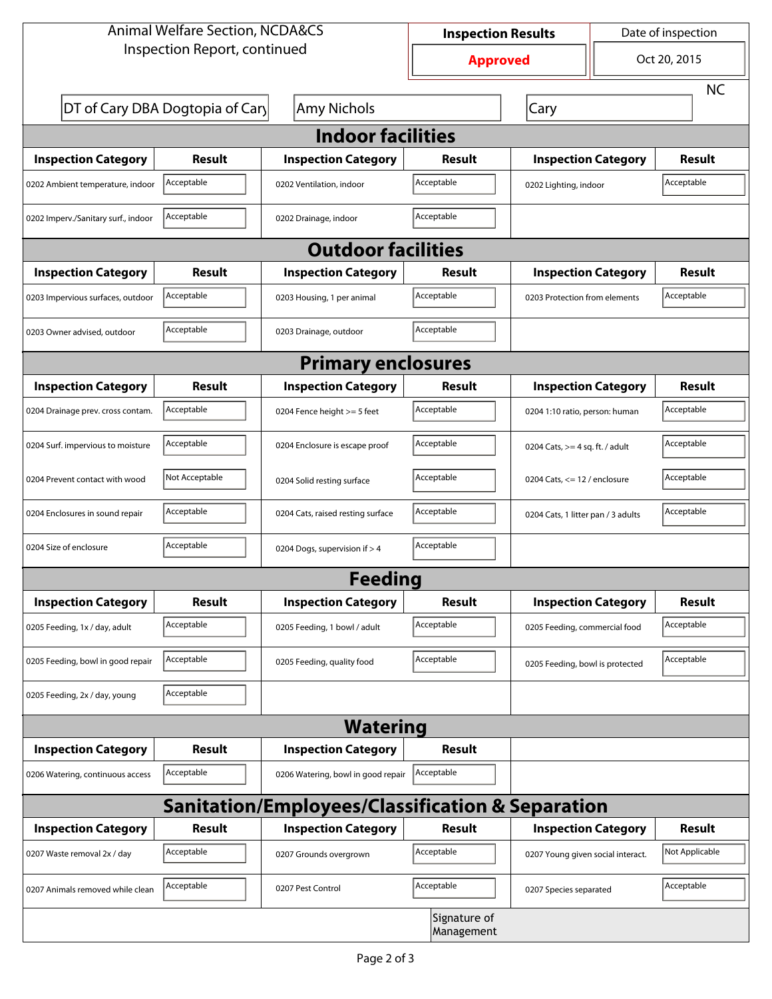| <b>Animal Welfare Section, NCDA&amp;CS</b>                  |                                 | <b>Inspection Results</b>          |               | Date of inspection                  |  |                |  |  |
|-------------------------------------------------------------|---------------------------------|------------------------------------|---------------|-------------------------------------|--|----------------|--|--|
| Inspection Report, continued                                |                                 | <b>Approved</b>                    |               | Oct 20, 2015                        |  |                |  |  |
|                                                             |                                 |                                    |               |                                     |  | <b>NC</b>      |  |  |
|                                                             | DT of Cary DBA Dogtopia of Cary | Amy Nichols                        |               | Cary                                |  |                |  |  |
| <b>Indoor facilities</b>                                    |                                 |                                    |               |                                     |  |                |  |  |
| <b>Inspection Category</b>                                  | Result                          | <b>Inspection Category</b>         | Result        | <b>Inspection Category</b>          |  | Result         |  |  |
| 0202 Ambient temperature, indoor                            | Acceptable                      | 0202 Ventilation, indoor           | Acceptable    | Acceptable<br>0202 Lighting, indoor |  |                |  |  |
| 0202 Imperv./Sanitary surf., indoor                         | Acceptable                      | 0202 Drainage, indoor              | Acceptable    |                                     |  |                |  |  |
|                                                             |                                 | <b>Outdoor facilities</b>          |               |                                     |  |                |  |  |
| <b>Inspection Category</b>                                  | Result                          | <b>Inspection Category</b>         | Result        | <b>Inspection Category</b>          |  | Result         |  |  |
| 0203 Impervious surfaces, outdoor                           | Acceptable                      | 0203 Housing, 1 per animal         | Acceptable    | 0203 Protection from elements       |  | Acceptable     |  |  |
| 0203 Owner advised, outdoor                                 | Acceptable                      | 0203 Drainage, outdoor             | Acceptable    |                                     |  |                |  |  |
| <b>Primary enclosures</b>                                   |                                 |                                    |               |                                     |  |                |  |  |
| <b>Inspection Category</b>                                  | Result                          | <b>Inspection Category</b>         | Result        | <b>Inspection Category</b>          |  | Result         |  |  |
| 0204 Drainage prev. cross contam.                           | Acceptable                      | 0204 Fence height >= 5 feet        | Acceptable    | 0204 1:10 ratio, person: human      |  | Acceptable     |  |  |
| 0204 Surf. impervious to moisture                           | Acceptable                      | 0204 Enclosure is escape proof     | Acceptable    | 0204 Cats, $>=$ 4 sq. ft. / adult   |  | Acceptable     |  |  |
| 0204 Prevent contact with wood                              | Not Acceptable                  | 0204 Solid resting surface         | Acceptable    | 0204 Cats, $<= 12$ / enclosure      |  | Acceptable     |  |  |
| 0204 Enclosures in sound repair                             | Acceptable                      | 0204 Cats, raised resting surface  | Acceptable    | 0204 Cats, 1 litter pan / 3 adults  |  | Acceptable     |  |  |
| 0204 Size of enclosure                                      | Acceptable                      | 0204 Dogs, supervision if > 4      | Acceptable    |                                     |  |                |  |  |
|                                                             |                                 | <b>Feeding</b>                     |               |                                     |  |                |  |  |
| <b>Inspection Category</b>                                  | <b>Result</b>                   | <b>Inspection Category</b>         | <b>Result</b> | <b>Inspection Category</b>          |  | <b>Result</b>  |  |  |
| 0205 Feeding, 1x / day, adult                               | Acceptable                      | 0205 Feeding, 1 bowl / adult       | Acceptable    | 0205 Feeding, commercial food       |  | Acceptable     |  |  |
| 0205 Feeding, bowl in good repair                           | Acceptable                      | 0205 Feeding, quality food         | Acceptable    | 0205 Feeding, bowl is protected     |  | Acceptable     |  |  |
| 0205 Feeding, 2x / day, young                               | Acceptable                      |                                    |               |                                     |  |                |  |  |
| <b>Watering</b>                                             |                                 |                                    |               |                                     |  |                |  |  |
| <b>Inspection Category</b>                                  | <b>Result</b>                   | <b>Inspection Category</b>         | <b>Result</b> |                                     |  |                |  |  |
| 0206 Watering, continuous access                            | Acceptable                      | 0206 Watering, bowl in good repair | Acceptable    |                                     |  |                |  |  |
| <b>Sanitation/Employees/Classification &amp; Separation</b> |                                 |                                    |               |                                     |  |                |  |  |
| <b>Inspection Category</b>                                  | <b>Result</b>                   | <b>Inspection Category</b>         | Result        | <b>Inspection Category</b>          |  | <b>Result</b>  |  |  |
| 0207 Waste removal 2x / day                                 | Acceptable                      | 0207 Grounds overgrown             | Acceptable    | 0207 Young given social interact.   |  | Not Applicable |  |  |
| 0207 Animals removed while clean                            | Acceptable                      | 0207 Pest Control                  | Acceptable    | 0207 Species separated              |  | Acceptable     |  |  |
| Signature of<br>Management                                  |                                 |                                    |               |                                     |  |                |  |  |